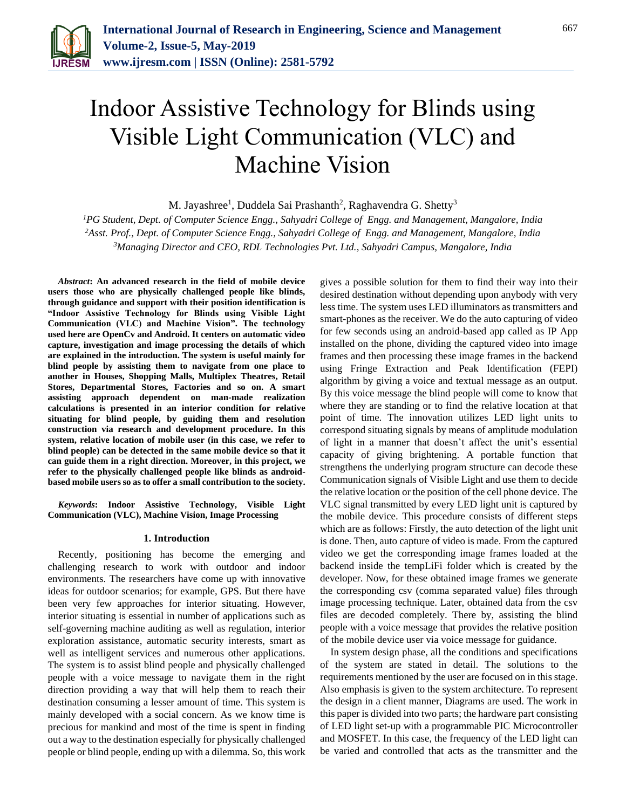

# Indoor Assistive Technology for Blinds using Visible Light Communication (VLC) and Machine Vision

M. Jayashree<sup>1</sup>, Duddela Sai Prashanth<sup>2</sup>, Raghavendra G. Shetty<sup>3</sup>

*<sup>1</sup>PG Student, Dept. of Computer Science Engg., Sahyadri College of Engg. and Management, Mangalore, India <sup>2</sup>Asst. Prof., Dept. of Computer Science Engg., Sahyadri College of Engg. and Management, Mangalore, India 3Managing Director and CEO, RDL Technologies Pvt. Ltd., Sahyadri Campus, Mangalore, India*

*Abstract***: An advanced research in the field of mobile device users those who are physically challenged people like blinds, through guidance and support with their position identification is "Indoor Assistive Technology for Blinds using Visible Light Communication (VLC) and Machine Vision". The technology used here are OpenCv and Android. It centers on automatic video capture, investigation and image processing the details of which are explained in the introduction. The system is useful mainly for blind people by assisting them to navigate from one place to another in Houses, Shopping Malls, Multiplex Theatres, Retail Stores, Departmental Stores, Factories and so on. A smart assisting approach dependent on man-made realization calculations is presented in an interior condition for relative situating for blind people, by guiding them and resolution construction via research and development procedure. In this system, relative location of mobile user (in this case, we refer to blind people) can be detected in the same mobile device so that it can guide them in a right direction. Moreover, in this project, we refer to the physically challenged people like blinds as androidbased mobile users so as to offer a small contribution to the society.**

*Keywords***: Indoor Assistive Technology, Visible Light Communication (VLC), Machine Vision, Image Processing** 

#### **1. Introduction**

Recently, positioning has become the emerging and challenging research to work with outdoor and indoor environments. The researchers have come up with innovative ideas for outdoor scenarios; for example, GPS. But there have been very few approaches for interior situating. However, interior situating is essential in number of applications such as self-governing machine auditing as well as regulation, interior exploration assistance, automatic security interests, smart as well as intelligent services and numerous other applications. The system is to assist blind people and physically challenged people with a voice message to navigate them in the right direction providing a way that will help them to reach their destination consuming a lesser amount of time. This system is mainly developed with a social concern. As we know time is precious for mankind and most of the time is spent in finding out a way to the destination especially for physically challenged people or blind people, ending up with a dilemma. So, this work

gives a possible solution for them to find their way into their desired destination without depending upon anybody with very less time. The system uses LED illuminators as transmitters and smart-phones as the receiver. We do the auto capturing of video for few seconds using an android-based app called as IP App installed on the phone, dividing the captured video into image frames and then processing these image frames in the backend using Fringe Extraction and Peak Identification (FEPI) algorithm by giving a voice and textual message as an output. By this voice message the blind people will come to know that where they are standing or to find the relative location at that point of time. The innovation utilizes LED light units to correspond situating signals by means of amplitude modulation of light in a manner that doesn't affect the unit's essential capacity of giving brightening. A portable function that strengthens the underlying program structure can decode these Communication signals of Visible Light and use them to decide the relative location or the position of the cell phone device. The VLC signal transmitted by every LED light unit is captured by the mobile device. This procedure consists of different steps which are as follows: Firstly, the auto detection of the light unit is done. Then, auto capture of video is made. From the captured video we get the corresponding image frames loaded at the backend inside the tempLiFi folder which is created by the developer. Now, for these obtained image frames we generate the corresponding csv (comma separated value) files through image processing technique. Later, obtained data from the csv files are decoded completely. There by, assisting the blind people with a voice message that provides the relative position of the mobile device user via voice message for guidance.

In system design phase, all the conditions and specifications of the system are stated in detail. The solutions to the requirements mentioned by the user are focused on in this stage. Also emphasis is given to the system architecture. To represent the design in a client manner, Diagrams are used. The work in this paper is divided into two parts; the hardware part consisting of LED light set-up with a programmable PIC Microcontroller and MOSFET. In this case, the frequency of the LED light can be varied and controlled that acts as the transmitter and the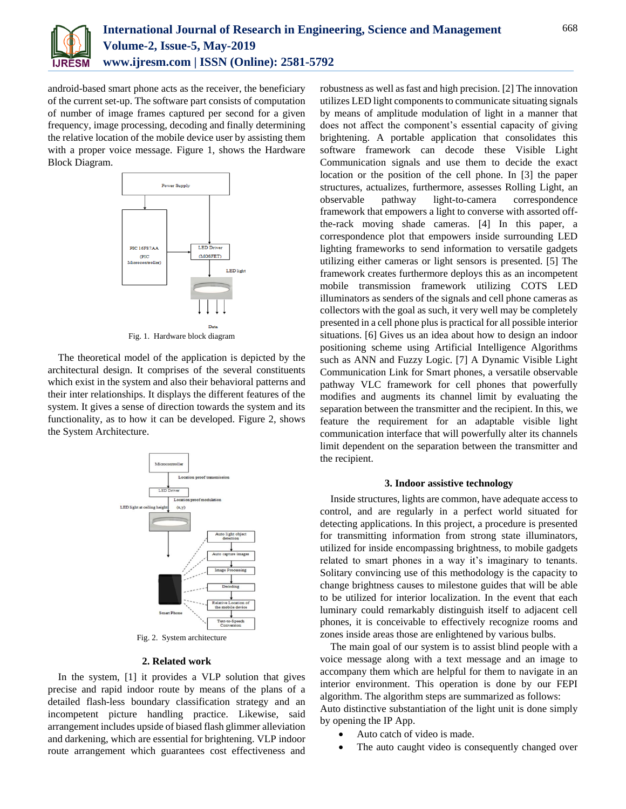

android-based smart phone acts as the receiver, the beneficiary of the current set-up. The software part consists of computation of number of image frames captured per second for a given frequency, image processing, decoding and finally determining the relative location of the mobile device user by assisting them with a proper voice message. Figure 1, shows the Hardware Block Diagram.



Fig. 1. Hardware block diagram

The theoretical model of the application is depicted by the architectural design. It comprises of the several constituents which exist in the system and also their behavioral patterns and their inter relationships. It displays the different features of the system. It gives a sense of direction towards the system and its functionality, as to how it can be developed. Figure 2, shows the System Architecture.



### **2. Related work**

In the system, [1] it provides a VLP solution that gives precise and rapid indoor route by means of the plans of a detailed flash-less boundary classification strategy and an incompetent picture handling practice. Likewise, said arrangement includes upside of biased flash glimmer alleviation and darkening, which are essential for brightening. VLP indoor route arrangement which guarantees cost effectiveness and

robustness as well as fast and high precision. [2] The innovation utilizes LED light components to communicate situating signals by means of amplitude modulation of light in a manner that does not affect the component's essential capacity of giving brightening. A portable application that consolidates this software framework can decode these Visible Light Communication signals and use them to decide the exact location or the position of the cell phone. In [3] the paper structures, actualizes, furthermore, assesses Rolling Light, an observable pathway light-to-camera correspondence framework that empowers a light to converse with assorted offthe-rack moving shade cameras. [4] In this paper, a correspondence plot that empowers inside surrounding LED lighting frameworks to send information to versatile gadgets utilizing either cameras or light sensors is presented. [5] The framework creates furthermore deploys this as an incompetent mobile transmission framework utilizing COTS LED illuminators as senders of the signals and cell phone cameras as collectors with the goal as such, it very well may be completely presented in a cell phone plus is practical for all possible interior situations. [6] Gives us an idea about how to design an indoor positioning scheme using Artificial Intelligence Algorithms such as ANN and Fuzzy Logic. [7] A Dynamic Visible Light Communication Link for Smart phones, a versatile observable pathway VLC framework for cell phones that powerfully modifies and augments its channel limit by evaluating the separation between the transmitter and the recipient. In this, we feature the requirement for an adaptable visible light communication interface that will powerfully alter its channels limit dependent on the separation between the transmitter and the recipient.

#### **3. Indoor assistive technology**

Inside structures, lights are common, have adequate access to control, and are regularly in a perfect world situated for detecting applications. In this project, a procedure is presented for transmitting information from strong state illuminators, utilized for inside encompassing brightness, to mobile gadgets related to smart phones in a way it's imaginary to tenants. Solitary convincing use of this methodology is the capacity to change brightness causes to milestone guides that will be able to be utilized for interior localization. In the event that each luminary could remarkably distinguish itself to adjacent cell phones, it is conceivable to effectively recognize rooms and zones inside areas those are enlightened by various bulbs.

The main goal of our system is to assist blind people with a voice message along with a text message and an image to accompany them which are helpful for them to navigate in an interior environment. This operation is done by our FEPI algorithm. The algorithm steps are summarized as follows: Auto distinctive substantiation of the light unit is done simply by opening the IP App.

- Auto catch of video is made.
- The auto caught video is consequently changed over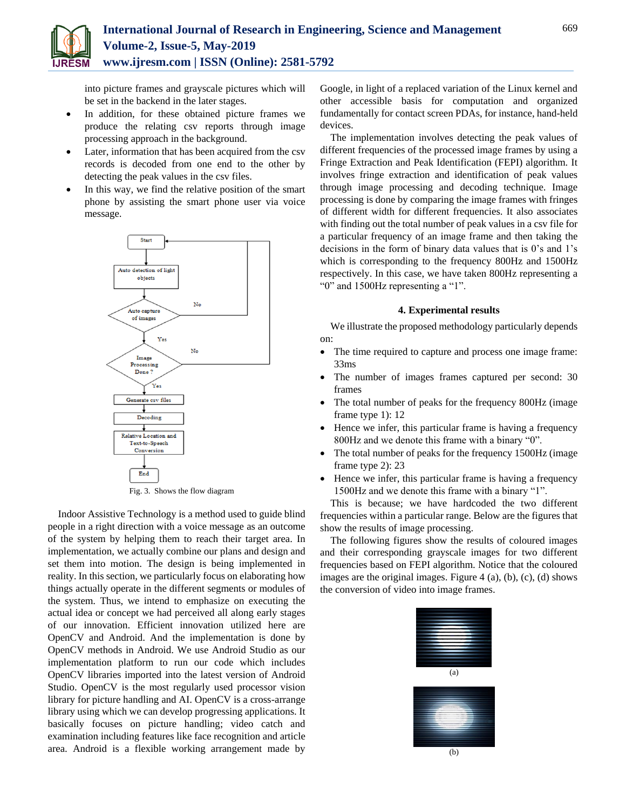

into picture frames and grayscale pictures which will be set in the backend in the later stages.

- In addition, for these obtained picture frames we produce the relating csv reports through image processing approach in the background.
- Later, information that has been acquired from the csv records is decoded from one end to the other by detecting the peak values in the csv files.
- In this way, we find the relative position of the smart phone by assisting the smart phone user via voice message.



Fig. 3. Shows the flow diagram

Indoor Assistive Technology is a method used to guide blind people in a right direction with a voice message as an outcome of the system by helping them to reach their target area. In implementation, we actually combine our plans and design and set them into motion. The design is being implemented in reality. In this section, we particularly focus on elaborating how things actually operate in the different segments or modules of the system. Thus, we intend to emphasize on executing the actual idea or concept we had perceived all along early stages of our innovation. Efficient innovation utilized here are OpenCV and Android. And the implementation is done by OpenCV methods in Android. We use Android Studio as our implementation platform to run our code which includes OpenCV libraries imported into the latest version of Android Studio. OpenCV is the most regularly used processor vision library for picture handling and AI. OpenCV is a cross-arrange library using which we can develop progressing applications. It basically focuses on picture handling; video catch and examination including features like face recognition and article area. Android is a flexible working arrangement made by

Google, in light of a replaced variation of the Linux kernel and other accessible basis for computation and organized fundamentally for contact screen PDAs, for instance, hand-held devices.

The implementation involves detecting the peak values of different frequencies of the processed image frames by using a Fringe Extraction and Peak Identification (FEPI) algorithm. It involves fringe extraction and identification of peak values through image processing and decoding technique. Image processing is done by comparing the image frames with fringes of different width for different frequencies. It also associates with finding out the total number of peak values in a csv file for a particular frequency of an image frame and then taking the decisions in the form of binary data values that is 0's and 1's which is corresponding to the frequency 800Hz and 1500Hz respectively. In this case, we have taken 800Hz representing a "0" and 1500Hz representing a "1".

#### **4. Experimental results**

We illustrate the proposed methodology particularly depends on:

- The time required to capture and process one image frame: 33ms
- The number of images frames captured per second: 30 frames
- The total number of peaks for the frequency 800Hz (image frame type 1): 12
- Hence we infer, this particular frame is having a frequency 800Hz and we denote this frame with a binary "0".
- The total number of peaks for the frequency 1500Hz (image frame type 2): 23
- Hence we infer, this particular frame is having a frequency 1500Hz and we denote this frame with a binary "1".

This is because; we have hardcoded the two different frequencies within a particular range. Below are the figures that show the results of image processing.

The following figures show the results of coloured images and their corresponding grayscale images for two different frequencies based on FEPI algorithm. Notice that the coloured images are the original images. Figure 4 (a), (b), (c), (d) shows the conversion of video into image frames.